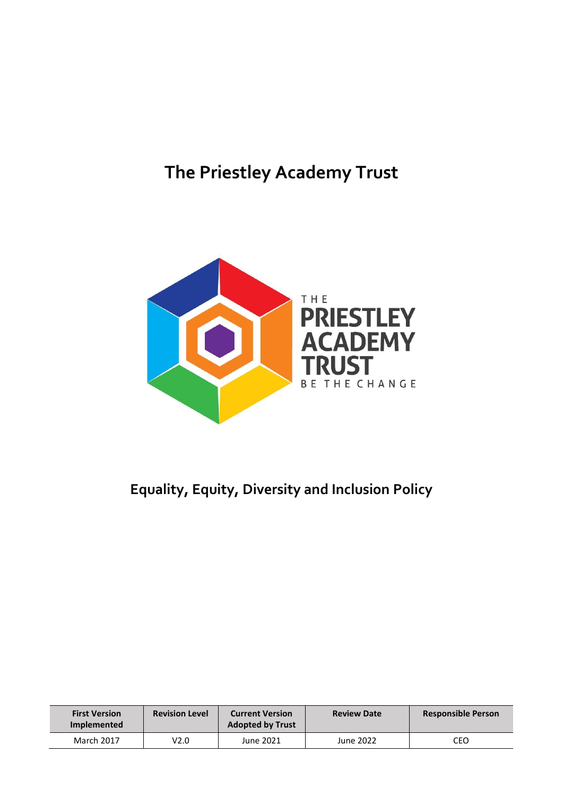# **The Priestley Academy Trust**



## **Equality, Equity, Diversity and Inclusion Policy**

| <b>First Version</b><br><b>Implemented</b> | <b>Revision Level</b> | <b>Current Version</b><br><b>Adopted by Trust</b> | <b>Review Date</b> | <b>Responsible Person</b> |
|--------------------------------------------|-----------------------|---------------------------------------------------|--------------------|---------------------------|
| March 2017                                 | V2.0                  | June 2021                                         | June 2022          | CEO                       |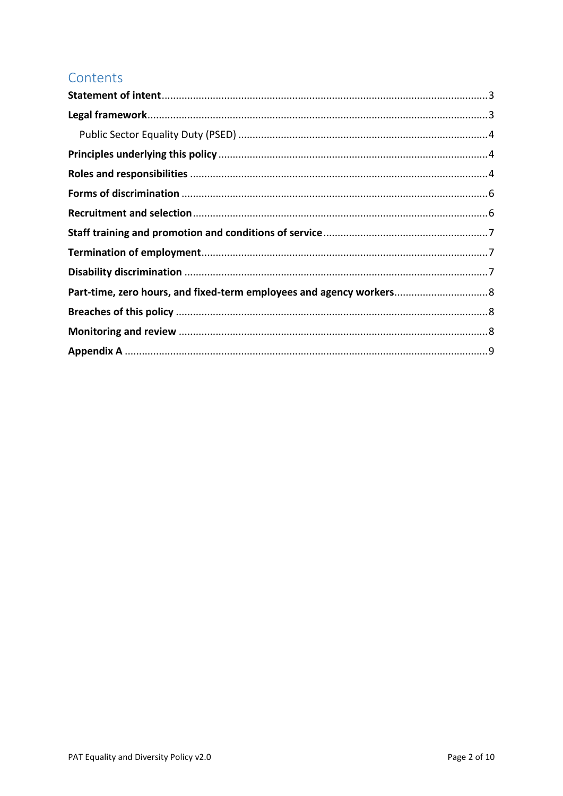#### Contents

| Part-time, zero hours, and fixed-term employees and agency workers 8 |  |
|----------------------------------------------------------------------|--|
|                                                                      |  |
|                                                                      |  |
|                                                                      |  |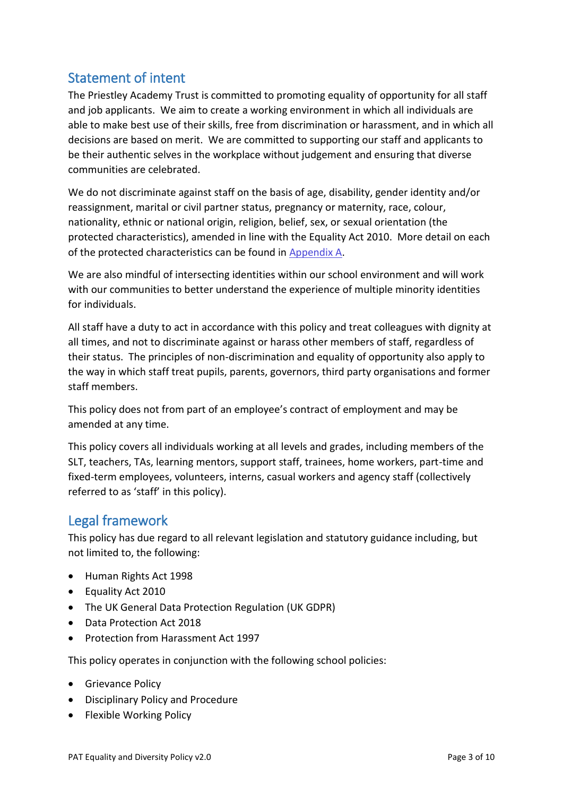#### <span id="page-2-0"></span>Statement of intent

The Priestley Academy Trust is committed to promoting equality of opportunity for all staff and job applicants. We aim to create a working environment in which all individuals are able to make best use of their skills, free from discrimination or harassment, and in which all decisions are based on merit. We are committed to supporting our staff and applicants to be their authentic selves in the workplace without judgement and ensuring that diverse communities are celebrated.

We do not discriminate against staff on the basis of age, disability, gender identity and/or reassignment, marital or civil partner status, pregnancy or maternity, race, colour, nationality, ethnic or national origin, religion, belief, sex, or sexual orientation (the protected characteristics), amended in line with the Equality Act 2010. More detail on each of the protected characteristics can be found in Appendix A.

We are also mindful of intersecting identities within our school environment and will work with our communities to better understand the experience of multiple minority identities for individuals.

All staff have a duty to act in accordance with this policy and treat colleagues with dignity at all times, and not to discriminate against or harass other members of staff, regardless of their status. The principles of non-discrimination and equality of opportunity also apply to the way in which staff treat pupils, parents, governors, third party organisations and former staff members.

This policy does not from part of an employee's contract of employment and may be amended at any time.

This policy covers all individuals working at all levels and grades, including members of the SLT, teachers, TAs, learning mentors, support staff, trainees, home workers, part-time and fixed-term employees, volunteers, interns, casual workers and agency staff (collectively referred to as 'staff' in this policy).

#### <span id="page-2-1"></span>Legal framework

This policy has due regard to all relevant legislation and statutory guidance including, but not limited to, the following:

- Human Rights Act 1998
- Equality Act 2010
- The UK General Data Protection Regulation (UK GDPR)
- Data Protection Act 2018
- Protection from Harassment Act 1997

This policy operates in conjunction with the following school policies:

- Grievance Policy
- Disciplinary Policy and Procedure
- Flexible Working Policy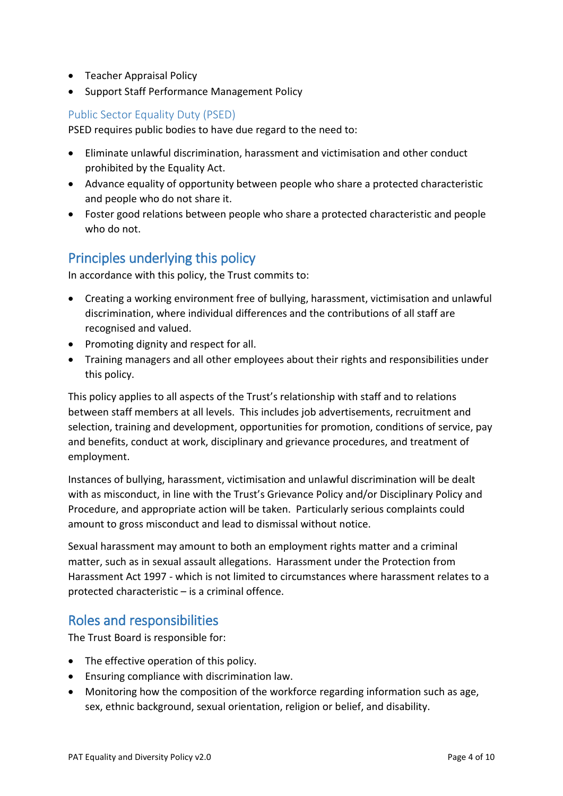- Teacher Appraisal Policy
- Support Staff Performance Management Policy

#### <span id="page-3-0"></span>Public Sector Equality Duty (PSED)

PSED requires public bodies to have due regard to the need to:

- Eliminate unlawful discrimination, harassment and victimisation and other conduct prohibited by the Equality Act.
- Advance equality of opportunity between people who share a protected characteristic and people who do not share it.
- Foster good relations between people who share a protected characteristic and people who do not.

## <span id="page-3-1"></span>Principles underlying this policy

In accordance with this policy, the Trust commits to:

- Creating a working environment free of bullying, harassment, victimisation and unlawful discrimination, where individual differences and the contributions of all staff are recognised and valued.
- Promoting dignity and respect for all.
- Training managers and all other employees about their rights and responsibilities under this policy.

This policy applies to all aspects of the Trust's relationship with staff and to relations between staff members at all levels. This includes job advertisements, recruitment and selection, training and development, opportunities for promotion, conditions of service, pay and benefits, conduct at work, disciplinary and grievance procedures, and treatment of employment.

Instances of bullying, harassment, victimisation and unlawful discrimination will be dealt with as misconduct, in line with the Trust's Grievance Policy and/or Disciplinary Policy and Procedure, and appropriate action will be taken. Particularly serious complaints could amount to gross misconduct and lead to dismissal without notice.

Sexual harassment may amount to both an employment rights matter and a criminal matter, such as in sexual assault allegations. Harassment under the Protection from Harassment Act 1997 - which is not limited to circumstances where harassment relates to a protected characteristic – is a criminal offence.

#### <span id="page-3-2"></span>Roles and responsibilities

The Trust Board is responsible for:

- The effective operation of this policy.
- Ensuring compliance with discrimination law.
- Monitoring how the composition of the workforce regarding information such as age, sex, ethnic background, sexual orientation, religion or belief, and disability.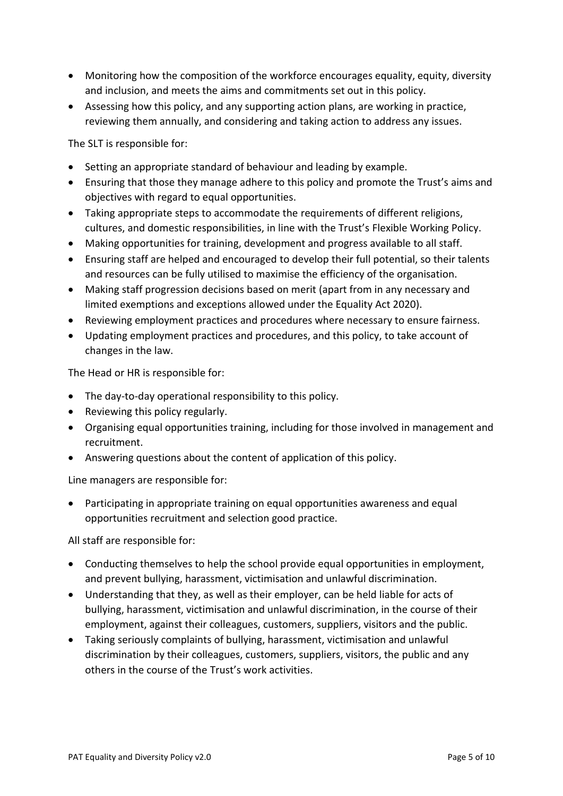- Monitoring how the composition of the workforce encourages equality, equity, diversity and inclusion, and meets the aims and commitments set out in this policy.
- Assessing how this policy, and any supporting action plans, are working in practice, reviewing them annually, and considering and taking action to address any issues.

The SLT is responsible for:

- Setting an appropriate standard of behaviour and leading by example.
- Ensuring that those they manage adhere to this policy and promote the Trust's aims and objectives with regard to equal opportunities.
- Taking appropriate steps to accommodate the requirements of different religions, cultures, and domestic responsibilities, in line with the Trust's Flexible Working Policy.
- Making opportunities for training, development and progress available to all staff.
- Ensuring staff are helped and encouraged to develop their full potential, so their talents and resources can be fully utilised to maximise the efficiency of the organisation.
- Making staff progression decisions based on merit (apart from in any necessary and limited exemptions and exceptions allowed under the Equality Act 2020).
- Reviewing employment practices and procedures where necessary to ensure fairness.
- Updating employment practices and procedures, and this policy, to take account of changes in the law.

The Head or HR is responsible for:

- The day-to-day operational responsibility to this policy.
- Reviewing this policy regularly.
- Organising equal opportunities training, including for those involved in management and recruitment.
- Answering questions about the content of application of this policy.

Line managers are responsible for:

• Participating in appropriate training on equal opportunities awareness and equal opportunities recruitment and selection good practice.

All staff are responsible for:

- Conducting themselves to help the school provide equal opportunities in employment, and prevent bullying, harassment, victimisation and unlawful discrimination.
- Understanding that they, as well as their employer, can be held liable for acts of bullying, harassment, victimisation and unlawful discrimination, in the course of their employment, against their colleagues, customers, suppliers, visitors and the public.
- Taking seriously complaints of bullying, harassment, victimisation and unlawful discrimination by their colleagues, customers, suppliers, visitors, the public and any others in the course of the Trust's work activities.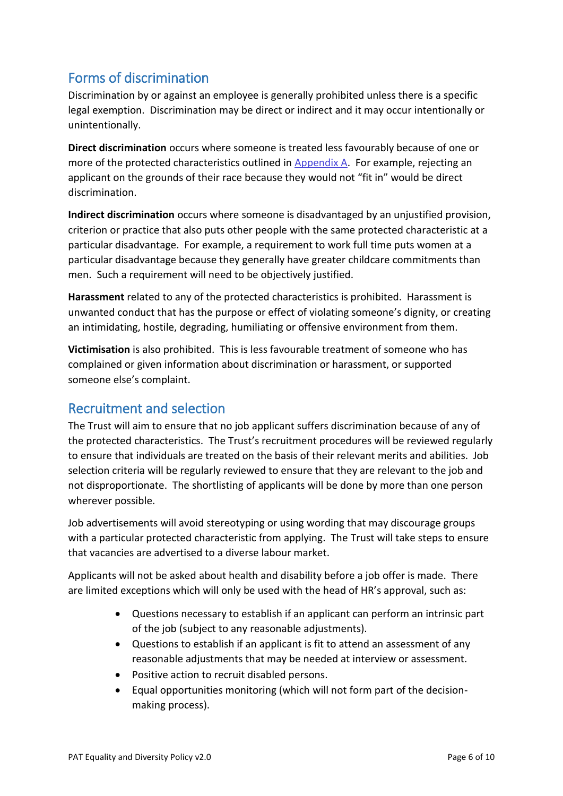## <span id="page-5-0"></span>Forms of discrimination

Discrimination by or against an employee is generally prohibited unless there is a specific legal exemption. Discrimination may be direct or indirect and it may occur intentionally or unintentionally.

**Direct discrimination** occurs where someone is treated less favourably because of one or more of the protected characteristics outlined in Appendix A. For example, rejecting an applicant on the grounds of their race because they would not "fit in" would be direct discrimination.

**Indirect discrimination** occurs where someone is disadvantaged by an unjustified provision, criterion or practice that also puts other people with the same protected characteristic at a particular disadvantage. For example, a requirement to work full time puts women at a particular disadvantage because they generally have greater childcare commitments than men. Such a requirement will need to be objectively justified.

**Harassment** related to any of the protected characteristics is prohibited. Harassment is unwanted conduct that has the purpose or effect of violating someone's dignity, or creating an intimidating, hostile, degrading, humiliating or offensive environment from them.

**Victimisation** is also prohibited. This is less favourable treatment of someone who has complained or given information about discrimination or harassment, or supported someone else's complaint.

#### <span id="page-5-1"></span>Recruitment and selection

The Trust will aim to ensure that no job applicant suffers discrimination because of any of the protected characteristics. The Trust's recruitment procedures will be reviewed regularly to ensure that individuals are treated on the basis of their relevant merits and abilities. Job selection criteria will be regularly reviewed to ensure that they are relevant to the job and not disproportionate. The shortlisting of applicants will be done by more than one person wherever possible.

Job advertisements will avoid stereotyping or using wording that may discourage groups with a particular protected characteristic from applying. The Trust will take steps to ensure that vacancies are advertised to a diverse labour market.

Applicants will not be asked about health and disability before a job offer is made. There are limited exceptions which will only be used with the head of HR's approval, such as:

- Questions necessary to establish if an applicant can perform an intrinsic part of the job (subject to any reasonable adjustments).
- Questions to establish if an applicant is fit to attend an assessment of any reasonable adjustments that may be needed at interview or assessment.
- Positive action to recruit disabled persons.
- Equal opportunities monitoring (which will not form part of the decisionmaking process).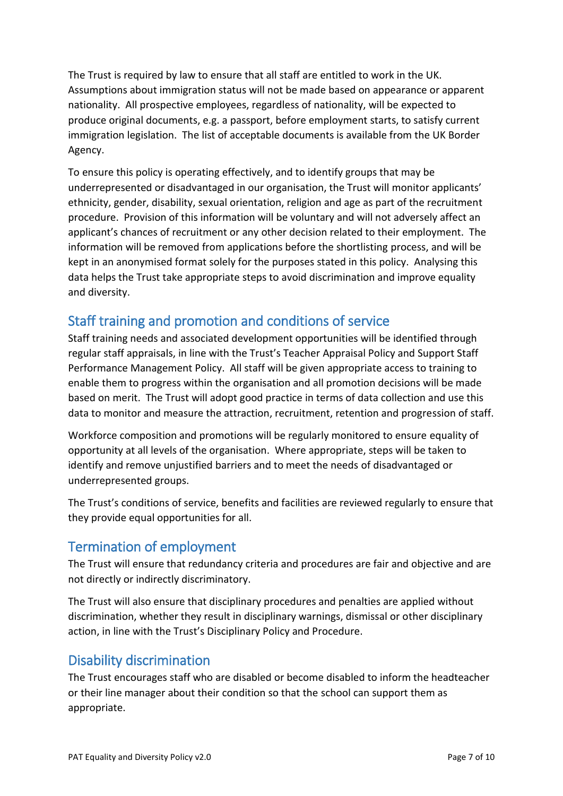The Trust is required by law to ensure that all staff are entitled to work in the UK. Assumptions about immigration status will not be made based on appearance or apparent nationality. All prospective employees, regardless of nationality, will be expected to produce original documents, e.g. a passport, before employment starts, to satisfy current immigration legislation. The list of acceptable documents is available from the UK Border Agency.

To ensure this policy is operating effectively, and to identify groups that may be underrepresented or disadvantaged in our organisation, the Trust will monitor applicants' ethnicity, gender, disability, sexual orientation, religion and age as part of the recruitment procedure. Provision of this information will be voluntary and will not adversely affect an applicant's chances of recruitment or any other decision related to their employment. The information will be removed from applications before the shortlisting process, and will be kept in an anonymised format solely for the purposes stated in this policy. Analysing this data helps the Trust take appropriate steps to avoid discrimination and improve equality and diversity.

## <span id="page-6-0"></span>Staff training and promotion and conditions of service

Staff training needs and associated development opportunities will be identified through regular staff appraisals, in line with the Trust's Teacher Appraisal Policy and Support Staff Performance Management Policy. All staff will be given appropriate access to training to enable them to progress within the organisation and all promotion decisions will be made based on merit. The Trust will adopt good practice in terms of data collection and use this data to monitor and measure the attraction, recruitment, retention and progression of staff.

Workforce composition and promotions will be regularly monitored to ensure equality of opportunity at all levels of the organisation. Where appropriate, steps will be taken to identify and remove unjustified barriers and to meet the needs of disadvantaged or underrepresented groups.

The Trust's conditions of service, benefits and facilities are reviewed regularly to ensure that they provide equal opportunities for all.

## <span id="page-6-1"></span>Termination of employment

The Trust will ensure that redundancy criteria and procedures are fair and objective and are not directly or indirectly discriminatory.

The Trust will also ensure that disciplinary procedures and penalties are applied without discrimination, whether they result in disciplinary warnings, dismissal or other disciplinary action, in line with the Trust's Disciplinary Policy and Procedure.

#### <span id="page-6-2"></span>Disability discrimination

The Trust encourages staff who are disabled or become disabled to inform the headteacher or their line manager about their condition so that the school can support them as appropriate.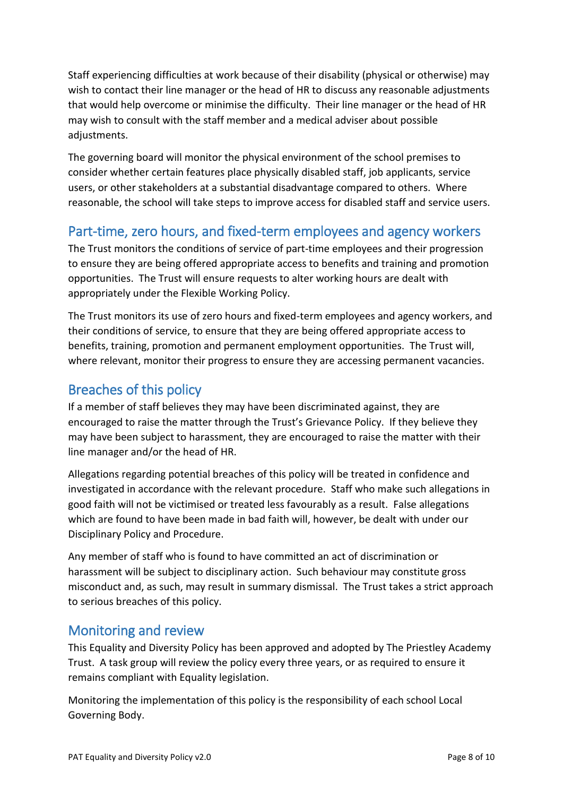Staff experiencing difficulties at work because of their disability (physical or otherwise) may wish to contact their line manager or the head of HR to discuss any reasonable adjustments that would help overcome or minimise the difficulty. Their line manager or the head of HR may wish to consult with the staff member and a medical adviser about possible adjustments.

The governing board will monitor the physical environment of the school premises to consider whether certain features place physically disabled staff, job applicants, service users, or other stakeholders at a substantial disadvantage compared to others. Where reasonable, the school will take steps to improve access for disabled staff and service users.

## <span id="page-7-0"></span>Part-time, zero hours, and fixed-term employees and agency workers

The Trust monitors the conditions of service of part-time employees and their progression to ensure they are being offered appropriate access to benefits and training and promotion opportunities. The Trust will ensure requests to alter working hours are dealt with appropriately under the Flexible Working Policy.

The Trust monitors its use of zero hours and fixed-term employees and agency workers, and their conditions of service, to ensure that they are being offered appropriate access to benefits, training, promotion and permanent employment opportunities. The Trust will, where relevant, monitor their progress to ensure they are accessing permanent vacancies.

## <span id="page-7-1"></span>Breaches of this policy

If a member of staff believes they may have been discriminated against, they are encouraged to raise the matter through the Trust's Grievance Policy. If they believe they may have been subject to harassment, they are encouraged to raise the matter with their line manager and/or the head of HR.

Allegations regarding potential breaches of this policy will be treated in confidence and investigated in accordance with the relevant procedure. Staff who make such allegations in good faith will not be victimised or treated less favourably as a result. False allegations which are found to have been made in bad faith will, however, be dealt with under our Disciplinary Policy and Procedure.

Any member of staff who is found to have committed an act of discrimination or harassment will be subject to disciplinary action. Such behaviour may constitute gross misconduct and, as such, may result in summary dismissal. The Trust takes a strict approach to serious breaches of this policy.

## <span id="page-7-2"></span>Monitoring and review

This Equality and Diversity Policy has been approved and adopted by The Priestley Academy Trust. A task group will review the policy every three years, or as required to ensure it remains compliant with Equality legislation.

Monitoring the implementation of this policy is the responsibility of each school Local Governing Body.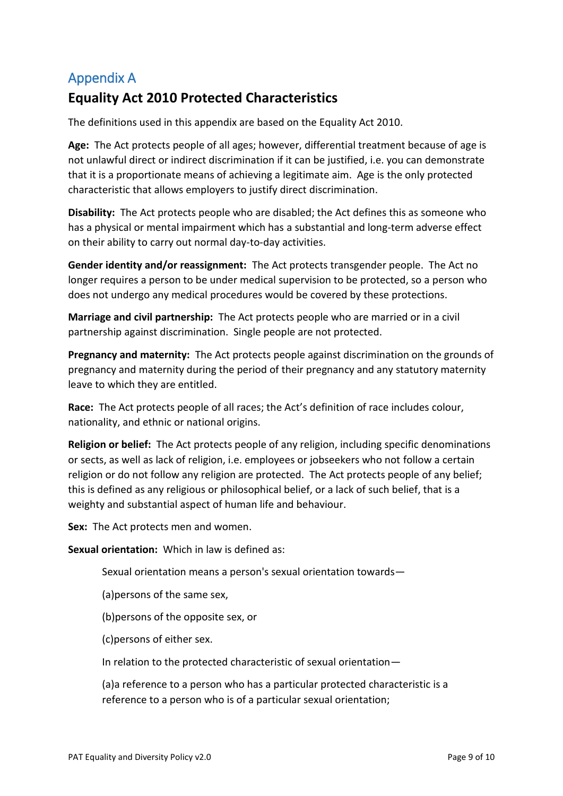## <span id="page-8-0"></span>Appendix A

## **Equality Act 2010 Protected Characteristics**

The definitions used in this appendix are based on the Equality Act 2010.

**Age:** The Act protects people of all ages; however, differential treatment because of age is not unlawful direct or indirect discrimination if it can be justified, i.e. you can demonstrate that it is a proportionate means of achieving a legitimate aim. Age is the only protected characteristic that allows employers to justify direct discrimination.

**Disability:** The Act protects people who are disabled; the Act defines this as someone who has a physical or mental impairment which has a substantial and long-term adverse effect on their ability to carry out normal day-to-day activities.

**Gender identity and/or reassignment:** The Act protects transgender people. The Act no longer requires a person to be under medical supervision to be protected, so a person who does not undergo any medical procedures would be covered by these protections.

**Marriage and civil partnership:** The Act protects people who are married or in a civil partnership against discrimination. Single people are not protected.

**Pregnancy and maternity:** The Act protects people against discrimination on the grounds of pregnancy and maternity during the period of their pregnancy and any statutory maternity leave to which they are entitled.

**Race:** The Act protects people of all races; the Act's definition of race includes colour, nationality, and ethnic or national origins.

**Religion or belief:** The Act protects people of any religion, including specific denominations or sects, as well as lack of religion, i.e. employees or jobseekers who not follow a certain religion or do not follow any religion are protected. The Act protects people of any belief; this is defined as any religious or philosophical belief, or a lack of such belief, that is a weighty and substantial aspect of human life and behaviour.

**Sex:** The Act protects men and women.

**Sexual orientation:** Which in law is defined as:

Sexual orientation means a person's sexual orientation towards—

(a)persons of the same sex,

(b)persons of the opposite sex, or

(c)persons of either sex.

In relation to the protected characteristic of sexual orientation—

(a)a reference to a person who has a particular protected characteristic is a reference to a person who is of a particular sexual orientation;